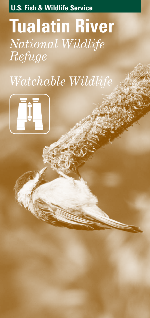**U.S. Fish & Wildlife Service**

# **Tualatin River** *National Wildlife Refuge*

# *Watchable Wildlife*

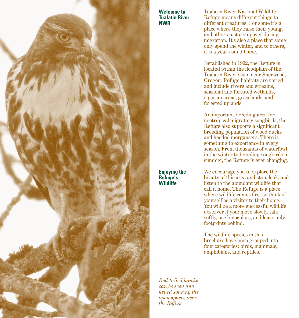

**Welcome to Tualatin River NWR**

Tualatin River National Wildlife Refuge means different things to different creatures. For some it's a place where they raise their young, and others just a stopover during migration. It's also a place that some only spend the winter, and to others, it is a year-round home.

Established in 1992, the Refuge is located within the floodplain of the Tualatin River basin near Sherwood, Oregon. Refuge habitats are varied and include rivers and streams, seasonal and forested wetlands, riparian areas, grasslands, and forested uplands.

An important breeding area for neotropical migratory songbirds, the Refuge also supports a significant breeding population of wood ducks and hooded mergansers. There is something to experience in every season. From thousands of waterfowl in the winter to breeding songbirds in summer, the Refuge is ever changing.

We encourage you to explore the beauty of this area and stop, look, and listen to the abundant wildlife that call it home. The Refuge is a place where wildlife comes first so think of yourself as a visitor to their home. You will be a more successful wildlife observer if you: move slowly, talk softly, use binoculars, and leave only footprints behind.

The wildlife species in this brochure have been grouped into four categories: birds, mammals, amphibians, and reptiles.

*Red-tailed hawks can be seen and heard soaring the open spaces over the Refuge*

**Enjoying the** 

**Wildlife**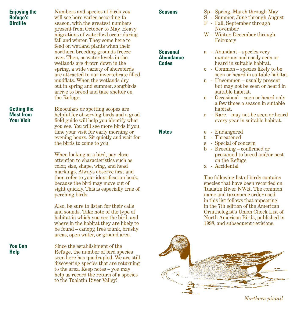| <b>Enjoying the</b><br><b>Refuge's</b><br><b>Birdlife</b>   | Numbers and species of birds you<br>will see here varies according to<br>season, with the greatest numbers<br>present from October to May. Heavy<br>migrations of waterfowl occur during<br>fall and winter. They come here to<br>feed on wetland plants when their                                                                                                                                                                                                                                     | <b>Seasons</b>                                      | Sp - Spring, March through May<br>S - Summer, June through August<br>F - Fall, September through<br>November<br>W - Winter, December through<br>February                                                                                                                                                                                                                                                                                      |
|-------------------------------------------------------------|---------------------------------------------------------------------------------------------------------------------------------------------------------------------------------------------------------------------------------------------------------------------------------------------------------------------------------------------------------------------------------------------------------------------------------------------------------------------------------------------------------|-----------------------------------------------------|-----------------------------------------------------------------------------------------------------------------------------------------------------------------------------------------------------------------------------------------------------------------------------------------------------------------------------------------------------------------------------------------------------------------------------------------------|
|                                                             | northern breeding grounds freeze<br>over. Then, as water levels in the<br>wetlands are drawn down in the<br>spring, a wide variety of shorebirds<br>are attracted to our invertebrate filled<br>mudflats. When the wetlands dry<br>out in spring and summer, songbirds<br>arrive to breed and take shelter on<br>the Refuge.                                                                                                                                                                            | <b>Seasonal</b><br><b>Abundance</b><br><b>Codes</b> | a - Abundant – species very<br>numerous and easily seen or<br>heard in suitable habitat.<br>c - Common – species likely to be<br>seen or heard in suitable habitat.<br>u - Uncommon – usually present<br>but may not be seen or heard in<br>suitable habitat.<br>$o - Occasional - seen or heard only$                                                                                                                                        |
| <b>Getting the</b><br><b>Most from</b><br><b>Your Visit</b> | Binoculars or spotting scopes are<br>helpful for observing birds and a good<br>field guide will help you identify what<br>you see. You will see more birds if you                                                                                                                                                                                                                                                                                                                                       |                                                     | a few times a season in suitable<br>habitat.<br>r - Rare - may not be seen or heard<br>every year in suitable habitat.                                                                                                                                                                                                                                                                                                                        |
|                                                             | time your visit for early morning or<br>evening hours. Sit quietly and wait for<br>the birds to come to you.<br>When looking at a bird, pay close<br>attention to characteristics such as<br>color, size, shape, wing, and head<br>markings. Always observe first and<br>then refer to your identification book,<br>because the bird may move out of<br>sight quickly. This is especially true of<br>perching birds.<br>Also, be sure to listen for their calls<br>and sounds. Take note of the type of | <b>Notes</b>                                        | - Endangered<br>e<br>t.<br>- Threatened<br>- Special of concern<br>S<br>b - Breeding - confirmed or<br>presumed to breed and/or nest<br>on the Refuge.<br>x - Accidental<br>The following list of birds contains<br>species that have been recorded on<br>Tualatin River NWR. The common<br>name and taxonomic order used<br>in this list follows that appearing<br>in the 7th edition of the American<br>Ornithologist's Union Check List of |
|                                                             | habitat in which you see the bird, and<br>where in the habitat they are likely to<br>be found – canopy, tree trunk, brushy<br>areas, open water, or ground area.                                                                                                                                                                                                                                                                                                                                        |                                                     | North American Birds, published in<br>1998, and subsequent revisions.                                                                                                                                                                                                                                                                                                                                                                         |
| <b>You Can</b><br><b>Help</b>                               | Since the establishment of the<br>Refuge, the number of bird species<br>seen here has quadrupled. We are still<br>discovering species that are returning<br>to the area. Keep notes - you may<br>help us record the return of a species<br>to the Tualatin River Valley!                                                                                                                                                                                                                                |                                                     |                                                                                                                                                                                                                                                                                                                                                                                                                                               |

*Northern pintail*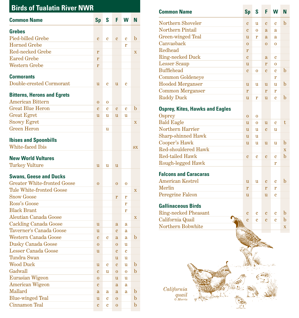| <b>Birds of Tualatin River NWR</b> |                  |             |                  |             |                         |  |  |
|------------------------------------|------------------|-------------|------------------|-------------|-------------------------|--|--|
| <b>Common Name</b>                 | <b>Sp</b>        | S           | F                | w           | N                       |  |  |
| <b>Grebes</b>                      |                  |             |                  |             |                         |  |  |
| <b>Pied-billed Grebe</b>           | $\mathbf{c}$     | $\mathbf c$ | $\mathbf c$      | $\mathbf c$ | $\mathbf b$             |  |  |
| <b>Horned Grebe</b>                |                  |             |                  | r           |                         |  |  |
| <b>Red-necked Grebe</b>            | r                |             |                  |             | $\mathbf X$             |  |  |
| <b>Eared Grebe</b>                 | r                |             |                  |             |                         |  |  |
| <b>Western Grebe</b>               | r                |             |                  |             |                         |  |  |
| <b>Cormorants</b>                  |                  |             |                  |             |                         |  |  |
| Double-crested Cormorant           | u                | c           | u                | $\mathbf c$ |                         |  |  |
| <b>Bitterns, Herons and Egrets</b> |                  |             |                  |             |                         |  |  |
| <b>American Bittern</b>            | $\bf{0}$         | 0           |                  |             |                         |  |  |
| <b>Great Blue Heron</b>            | $\mathbf c$      | $\mathbf c$ | $\mathbf c$      | $\mathbf c$ | $\mathbf b$             |  |  |
| <b>Great Egret</b>                 | $\mathbf u$      | u           | u                | u           |                         |  |  |
| <b>Snowy Egret</b>                 |                  |             |                  |             | $\overline{\mathbf{X}}$ |  |  |
| <b>Green Heron</b>                 |                  | u           |                  |             |                         |  |  |
| <b>Ibises and Spoonbills</b>       |                  |             |                  |             |                         |  |  |
| White-faced Ibis                   |                  |             |                  |             | <b>SX</b>               |  |  |
| <b>New World Vultures</b>          |                  |             |                  |             |                         |  |  |
| <b>Turkey Vulture</b>              | u                | u           | u                |             |                         |  |  |
|                                    |                  |             |                  |             |                         |  |  |
| <b>Swans, Geese and Ducks</b>      |                  |             |                  |             |                         |  |  |
| <b>Greater White-fronted Goose</b> | $\overline{0}$   |             | $\overline{0}$   | 0           |                         |  |  |
| <b>Tule White-fronted Goose</b>    |                  |             |                  |             | $\overline{\mathbf{X}}$ |  |  |
| <b>Snow Goose</b>                  |                  |             | r                | r           |                         |  |  |
| Ross's Goose                       |                  |             |                  | r           |                         |  |  |
| <b>Black Brant</b>                 |                  |             |                  | r           |                         |  |  |
| <b>Aleutian Canada Goose</b>       |                  |             |                  |             | $\mathbf X$             |  |  |
| <b>Cackling Canada Goose</b>       | u                |             | $\mathbf{a}$     | $\mathbf a$ |                         |  |  |
| Taverner's Canada Goose            | u                |             | $\mathbf c$      | $\mathbf a$ |                         |  |  |
| Western Canada Goose               | $\mathbf c$      | c           | $\mathbf a$      | $\mathbf a$ | $\mathbf b$             |  |  |
| Dusky Canada Goose                 | $\bf{0}$         |             | $\boldsymbol{0}$ | u           |                         |  |  |
| <b>Lesser Canada Goose</b>         | u                |             | $\mathbf c$      | c           |                         |  |  |
| Tundra Swan                        |                  |             | u                | u           |                         |  |  |
| <b>Wood Duck</b>                   | $\mathbf u$      | c           | $\mathbf c$      | u           | $\mathbf b$             |  |  |
| Gadwall                            | $\mathbf c$      | u           | $\bf{0}$         | $\bf{0}$    | $\mathbf b$             |  |  |
| Eurasian Wigeon                    | $\boldsymbol{0}$ |             | u                | u           |                         |  |  |
| <b>American Wigeon</b>             | c                |             | $\mathbf a$      | a           |                         |  |  |
| Mallard                            | $\mathbf a$      | a           | $\mathbf a$      | a           | $\mathbf b$             |  |  |
| <b>Blue-winged Teal</b>            | u                | c           | $\bf{0}$         |             | $\mathbf b$             |  |  |
| Cinnamon Teal                      | $\mathbf c$      | c           | $\mathbf 0$      |             | $\mathbf b$             |  |  |

| <b>Common Name</b>                     | <b>Sp</b>      | S              | F              | W           | N           |
|----------------------------------------|----------------|----------------|----------------|-------------|-------------|
|                                        |                |                |                |             |             |
| Northern Shoveler                      | $\overline{c}$ | u              | $\mathbf c$    | $\mathbf c$ | $\mathbf b$ |
| <b>Northern Pintail</b>                | $\mathbf{c}$   | $\overline{0}$ | a              | a           |             |
| <b>Green-winged Teal</b>               | $\mathbf{u}$   | r              | a.             | a           |             |
| Canvasback                             | $\overline{0}$ |                | $\overline{0}$ | $\mathbf 0$ |             |
| Redhead                                | r              |                |                |             |             |
| Ring-necked Duck                       | $\mathbf c$    |                | a              | $\mathbf c$ |             |
| <b>Lesser Scaup</b>                    | $\mathbf{u}$   |                | r              | $\Omega$    |             |
| <b>Bufflehead</b>                      | $\mathbf{c}$   | $\Omega$       | $\mathbf c$    | e           | $\mathbf b$ |
| <b>Common Goldeneye</b>                |                |                |                | r           |             |
| <b>Hooded Merganser</b>                | u              | u              | u              | u           | $\mathbf b$ |
| <b>Common Merganser</b>                | r              |                | r              | r           |             |
| <b>Ruddy Duck</b>                      | $\mathbf{u}$   | r              | $\mathbf{u}$   | Ć           | $\mathbf b$ |
| <b>Osprey, Kites, Hawks and Eagles</b> |                |                |                |             |             |
| Osprey                                 | $\Omega$       | $\Omega$       |                |             |             |
| <b>Bald Eagle</b>                      | $\mathbf{u}$   | $\overline{0}$ | u              | $\mathbf c$ | t           |
| Northern Harrier                       | $\mathbf{u}$   | $\mathbf u$    | $\mathbf c$    | u           |             |
| <b>Sharp-shinned Hawk</b>              | u              | u              |                |             |             |
| Cooper's Hawk                          | u              | u              | u              | u           | $\mathbf b$ |
| Red-shouldered Hawk                    |                |                |                |             | $\mathbf x$ |
| <b>Red-tailed Hawk</b>                 | $\mathbf c$    | $\mathbf c$    | $\overline{c}$ | Ć           | $\mathbf b$ |
| Rough-legged Hawk                      |                |                |                | r           |             |

## **Falcons and Caracaras**

| <b>American Kestrel</b> |  | $\mathbf{r}$ |  |
|-------------------------|--|--------------|--|
| Merlin                  |  |              |  |
| Peregrine Falcon        |  |              |  |

## **Gallinaceous Birds**

| Ring-necked Pheasant |  |  |  |
|----------------------|--|--|--|
| California Quail     |  |  |  |
| Northern Bobwhite    |  |  |  |

*California quail © Morris*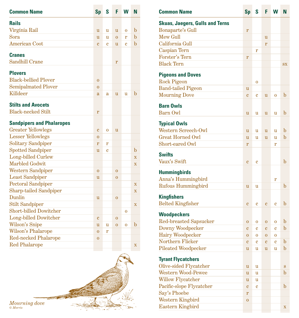| <b>Common Name</b>               | <b>Sp</b>      | S           | F              | W              | N                       |
|----------------------------------|----------------|-------------|----------------|----------------|-------------------------|
| <b>Rails</b>                     |                |             |                |                |                         |
| Virginia Rail                    | u              | u           | u              | $\mathbf 0$    | $\mathbf b$             |
| Sora                             | u              | u           | $\overline{0}$ | r              | b                       |
| <b>American Coot</b>             | $\mathbf c$    | $\mathbf c$ | $\mathbf{u}$   | Ć              | $\mathbf b$             |
|                                  |                |             |                |                |                         |
| <b>Cranes</b>                    |                |             |                |                |                         |
| <b>Sandhill Crane</b>            |                |             | r              |                |                         |
| <b>Plovers</b>                   |                |             |                |                |                         |
| <b>Black-bellied Plover</b>      | $\overline{0}$ |             |                |                |                         |
| <b>Semipalmated Plover</b>       | $\mathbf{O}$   |             |                |                |                         |
| <b>Killdeer</b>                  | a              | $\mathbf a$ | u              | u              | $\mathbf b$             |
|                                  |                |             |                |                |                         |
| <b>Stilts and Avocets</b>        |                |             |                |                |                         |
| <b>Black-necked Stilt</b>        | r              |             |                |                |                         |
| <b>Sandpipers and Phalaropes</b> |                |             |                |                |                         |
| <b>Greater Yellowlegs</b>        | $\mathbf c$    | 0           | u              |                |                         |
| <b>Lesser Yellowlegs</b>         | $\mathbf{O}$   |             |                |                |                         |
| <b>Solitary Sandpiper</b>        | r              | r           |                |                |                         |
| <b>Spotted Sandpiper</b>         | u              | $\mathbf c$ |                |                | $\mathbf b$             |
| Long-billed Curlew               |                |             |                |                | $\overline{\mathbf{X}}$ |
| <b>Marbled Godwit</b>            |                |             |                |                | $\overline{\mathbf{X}}$ |
| <b>Western Sandpiper</b>         | $\overline{0}$ |             | $\mathbf{O}$   |                |                         |
| <b>Least Sandpiper</b>           | u              |             | $\mathbf{O}$   |                |                         |
| <b>Pectoral Sandpiper</b>        |                |             |                |                | $\mathbf X$             |
| <b>Sharp-tailed Sandpiper</b>    |                |             |                |                | $\mathbf X$             |
| Dunlin                           | u              |             | $\overline{0}$ |                |                         |
| <b>Stilt Sandpiper</b>           |                |             |                |                | $\overline{\mathbf{X}}$ |
| <b>Short-billed Dowitcher</b>    |                |             |                | $\overline{0}$ |                         |
| <b>Long-billed Dowitcher</b>     | $\mathbf c$    |             | $\overline{0}$ |                |                         |
| Wilson's Snipe                   | u              | u           | $\overline{0}$ | $\overline{0}$ | $\mathbf b$             |
| <b>Wilson's Phalarope</b>        | $\mathbf{0}$   | r           |                |                |                         |
| <b>Red-necked Phalarope</b>      | $\overline{0}$ |             |                |                |                         |
| <b>Red Phalarope</b>             |                |             |                |                | $\mathbf X$             |
|                                  |                |             |                |                |                         |

*Mourning dove © Morris*

anima est

ż

 $\pm 1$ Siller.

Ą

 $\frac{7}{2}$ 

×. Á

ž.

| <b>Common Name</b>                         | <b>Sp</b>      | S              | F              | W              | N           |
|--------------------------------------------|----------------|----------------|----------------|----------------|-------------|
| <b>Skuas, Jaegers, Gulls and Terns</b>     |                |                |                |                |             |
| <b>Bonaparte's Gull</b>                    | $\mathbf r$    |                |                |                |             |
| <b>Mew Gull</b>                            |                |                | u              |                |             |
| California Gull                            |                |                | r              |                |             |
| Caspian Tern                               |                | r              |                |                |             |
| <b>Forster's Tern</b>                      | r              |                |                |                |             |
| <b>Black Tern</b>                          |                |                |                |                | <b>SX</b>   |
| <b>Pigeons and Doves</b>                   |                |                |                |                |             |
| <b>Rock Pigeon</b>                         |                | 0              |                |                |             |
| <b>Band-tailed Pigeon</b>                  | u              |                |                |                |             |
| <b>Mourning Dove</b>                       | $\mathbf c$    | c              | u              | $\overline{0}$ | $\mathbf b$ |
| <b>Barn Owls</b>                           |                |                |                |                |             |
| <b>Barn Owl</b>                            | u              | u              | u              | u              | $\mathbf b$ |
|                                            |                |                |                |                |             |
| <b>Typical Owls</b><br>Western Screech-Owl | u              | u              | u              | u              | $\mathbf b$ |
| <b>Great Horned Owl</b>                    | u              | u              | u              | u              | $\mathbf b$ |
| Short-eared Owl                            | r              |                |                | r              |             |
|                                            |                |                |                |                |             |
| <b>Swifts</b>                              |                |                |                |                |             |
| Vaux's Swift                               | $\mathbf c$    | c              |                |                | $\mathbf b$ |
| <b>Hummingbirds</b>                        |                |                |                |                |             |
| Anna's Hummingbird                         |                |                |                | r              |             |
| Rufous Hummingbird                         | u              | u              |                |                | $\mathbf b$ |
| <b>Kingfishers</b>                         |                |                |                |                |             |
| <b>Belted Kingfisher</b>                   | $\mathbf c$    | c              | $\mathbf c$    | $\mathbf c$    | $\mathbf b$ |
|                                            |                |                |                |                |             |
| <b>Woodpeckers</b>                         |                |                |                |                |             |
| <b>Red-breasted Sapsucker</b>              | $\mathbf{O}$   | $\bf{O}$       | $\mathbf{O}$   | $\bf{O}$       | $\mathbf b$ |
| Downy Woodpecker                           | $\overline{c}$ | c              | $\overline{c}$ | c              | $\mathbf b$ |
| Hairy Woodpecker                           | $\overline{0}$ | $\overline{0}$ | $\mathbf{0}$   | $\overline{0}$ |             |
| Northern Flicker                           | $\mathbf c$    | c              | $\mathbf c$    | $\mathbf c$    | $\mathbf b$ |
| <b>Pileated Woodpecker</b>                 | u              | u              | u              | u              | $\mathbf b$ |
| <b>Tyrant Flycatchers</b>                  |                |                |                |                |             |
| Olive-sided Flycatcher                     | u              | u              |                |                | S           |
| <b>Western Wood-Pewee</b>                  | u              | u              |                |                | $\mathbf b$ |
| <b>Willow Flycatcher</b>                   | u              | u              |                |                |             |
| Pacific-slope Flycatcher                   | $\mathbf c$    | c              |                |                | $\mathbf b$ |
| Say's Phoebe                               | r              |                |                |                |             |
| Western Kingbird                           | $\bf{0}$       |                |                |                |             |
| <b>Eastern Kingbird</b>                    |                |                |                |                | X           |
|                                            |                |                |                |                |             |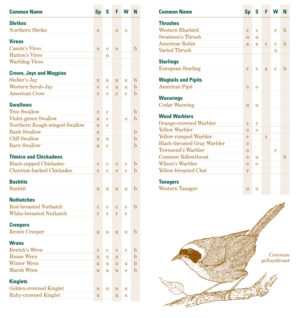| <b>Common Name</b>                                   | <b>Sp</b>      | S           | F              | W              | N           |
|------------------------------------------------------|----------------|-------------|----------------|----------------|-------------|
| <b>Shrikes</b>                                       |                |             |                |                |             |
| Northern Shrike                                      | $\mathbf{O}$   |             | $\mathbf{O}$   | $\bf{O}$       |             |
| <b>Vireos</b>                                        |                |             |                |                |             |
| Cassin's Vireo                                       | $\overline{0}$ | $\bf{0}$    | $\mathbf{O}$   |                | $\mathbf b$ |
| <b>Hutton's Vireo</b>                                |                | u           |                |                |             |
| <b>Warbling Vireo</b>                                |                |             |                |                |             |
| <b>Crows, Jays and Magpies</b>                       |                |             |                |                |             |
| Steller's Jay                                        | u              | u           | u              | u              | b           |
| Western Scrub-Jay                                    | $\overline{c}$ | c           | u              | u              | $\mathbf b$ |
| <b>American Crow</b>                                 | $\overline{c}$ | Ć           | $\mathbf{c}$   | Ć              | b           |
|                                                      |                |             |                |                |             |
| <b>Swallows</b>                                      |                |             |                |                |             |
| <b>Tree Swallow</b>                                  | c              | c           |                |                | $\mathbf b$ |
| Violet-green Swallow                                 | a              | Ć           |                | $\overline{0}$ | b           |
| Northern Rough-winged Swallow<br><b>Bank Swallow</b> | u              | Ć           |                |                |             |
|                                                      | u              |             |                |                | b           |
| <b>Cliff Swallow</b>                                 | u              | u           |                |                | b           |
| <b>Barn Swallow</b>                                  | a              | Ć           |                |                | $\mathbf b$ |
| <b>Titmice and Chickadees</b>                        |                |             |                |                |             |
| <b>Black-capped Chickadee</b>                        | $\overline{c}$ | c           | $\mathbf{c}$   | c              | b           |
| Chestnut-backed Chickadee                            | $\mathbf c$    | Ć           | $\overline{c}$ | Ć              | b           |
| <b>Bushtits</b>                                      |                |             |                |                |             |
| <b>Bushtit</b>                                       | u              | u           | u              | u              | $\mathbf b$ |
| <b>Nuthatches</b>                                    |                |             |                |                |             |
| <b>Red-breasted Nuthatch</b>                         | c              | c           | c              | c              | $\mathbf b$ |
| <b>White-breasted Nuthatch</b>                       | r              | r           | r              | r              |             |
| <b>Creepers</b>                                      |                |             |                |                |             |
| <b>Brown Creeper</b>                                 | u              | u           | u              | u              | $\mathbf b$ |
| <b>Wrens</b>                                         |                |             |                |                |             |
| <b>Bewick's Wren</b>                                 | $\overline{c}$ | $\mathbf c$ | $\mathbf c$    | $\mathbf c$    | $\mathbf b$ |
| <b>House Wren</b>                                    |                |             |                |                | $\mathbf b$ |
| <b>Winter Wren</b>                                   | u<br>u         | u           | u<br>u         | u              | $\mathbf b$ |
| Marsh Wren                                           | u              | u<br>u      | $\mathbf u$    | $\overline{0}$ | $\mathbf b$ |
|                                                      |                |             |                |                |             |
| <b>Kinglets</b>                                      |                |             |                |                |             |
| Golden-crowned Kinglet                               | u              | u           | u              | u              |             |
| <b>Ruby-crowned Kinglet</b>                          | u              |             | u              | u              |             |
|                                                      |                |             |                |                |             |

| <b>Common Name</b>                 | <b>Sp</b>      | S              | F              | W            | N           |
|------------------------------------|----------------|----------------|----------------|--------------|-------------|
| <b>Thrushes</b>                    |                |                |                |              |             |
| Western Bluebird                   | $\mathbf{c}$   | $\mathbf{c}$   |                | r            | $\mathbf b$ |
| Swainson's Thrush                  | u              | u              |                |              |             |
| <b>American Robin</b>              | a              | $\mathbf{a}$   | $\mathbf c$    | $\mathbf c$  | $\mathbf b$ |
| Varied Thrush                      |                |                |                | u            |             |
| <b>Starlings</b>                   |                |                |                |              |             |
| <b>European Starling</b>           | $\overline{c}$ | e              | a              | $\mathbf{c}$ | $\mathbf b$ |
| <b>Wagtails and Pipits</b>         |                |                |                |              |             |
| <b>American Pipit</b>              | $\mathbf{O}$   | $\mathbf{O}$   |                |              |             |
| <b>Waxwings</b>                    |                |                |                |              |             |
| <b>Cedar Waxwing</b>               | $\mathbf{u}$   | $\mathbf u$    |                |              |             |
| <b>Wood Warblers</b>               |                |                |                |              |             |
| Orange-crowned Warbler             | $\overline{c}$ | $\mathbf c$    |                |              |             |
| <b>Yellow Warbler</b>              | $\overline{0}$ | $\overline{0}$ |                |              |             |
| <b>Yellow-rumped Warbler</b>       | $\overline{c}$ |                | $\overline{c}$ |              |             |
| <b>Black-throated Gray Warbler</b> | $\Omega$       |                |                |              |             |
| Townsend's Warbler                 | $\overline{0}$ |                |                | r            |             |
| Common Yellowthroat                | $\mathbf{O}$   | u              |                |              | $\mathbf b$ |
| Wilson's Warbler                   | $\overline{0}$ | $\overline{0}$ |                |              |             |
| Yellow-breasted Chat               | r              |                |                |              |             |
| <b>Tanagers</b>                    |                |                |                |              |             |
| <b>Western Tanager</b>             | u              | u              |                |              |             |

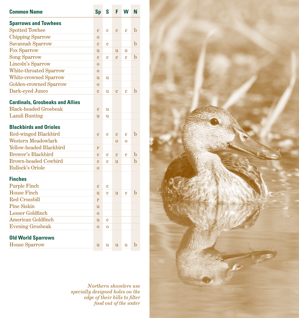| <b>Common Name</b>                     | <b>Sp</b>      | S                       | F              | W              | N           |
|----------------------------------------|----------------|-------------------------|----------------|----------------|-------------|
| <b>Sparrows and Towhees</b>            |                |                         |                |                |             |
| <b>Spotted Towhee</b>                  | $\overline{c}$ | c                       | $\overline{c}$ | $\mathbf c$    | $\mathbf b$ |
| <b>Chipping Sparrow</b>                | $\overline{0}$ |                         |                |                |             |
| Savannah Sparrow                       | $\overline{c}$ | Ć                       |                |                | b           |
| <b>Fox Sparrow</b>                     | u              |                         | u              | u              |             |
| <b>Song Sparrow</b>                    | $\overline{c}$ | Ć                       | $\overline{c}$ | Ć              | b           |
| Lincoln's Sparrow                      | $\overline{0}$ |                         |                |                |             |
| White-throated Sparrow                 | $\overline{0}$ |                         |                |                |             |
| <b>White-crowned Sparrow</b>           | u              | u                       |                |                |             |
| <b>Golden-crowned Sparrow</b>          | $\overline{0}$ |                         |                |                |             |
| Dark-eyed Junco                        | $\overline{c}$ | u                       | $\overline{c}$ | Ć              | $\mathbf b$ |
| <b>Cardinals, Grosbeaks and Allies</b> |                |                         |                |                |             |
| <b>Black-headed Grosbeak</b>           | $\overline{c}$ | u                       |                |                |             |
| <b>Lazuli Bunting</b>                  | u              | u                       |                |                |             |
| <b>Blackbirds and Orioles</b>          |                |                         |                |                |             |
| Red-winged Blackbird                   | $\overline{c}$ | c                       | $\overline{c}$ | $\mathbf c$    | $\mathbf b$ |
| <b>Western Meadowlark</b>              |                |                         | $\overline{0}$ | $\overline{0}$ |             |
| Yellow-headed Blackbird                | r              |                         |                |                |             |
| <b>Brewer's Blackbird</b>              | $\overline{c}$ | $\overline{\mathbf{c}}$ | $\overline{c}$ | $\overline{c}$ | $\mathbf b$ |
| <b>Brown-headed Cowbird</b>            | $\overline{c}$ | $\mathbf c$             | u              |                | b           |
| <b>Bullock's Oriole</b>                | $\mathbf{O}$   |                         |                |                |             |
| <b>Finches</b>                         |                |                         |                |                |             |
| <b>Purple Finch</b>                    | $\mathbf c$    | c                       |                |                |             |
| <b>House Finch</b>                     | u              | Ć                       | $\mathbf{u}$   | $\mathbf c$    | $\mathbf b$ |
| <b>Red Crossbill</b>                   | r              |                         |                |                |             |
| <b>Pine Siskin</b>                     | u              |                         |                |                |             |
| <b>Lesser Goldfinch</b>                | $\overline{0}$ |                         |                |                |             |
| <b>American Goldfinch</b>              | u              | Ć                       |                |                |             |
| <b>Evening Grosbeak</b>                | $\overline{0}$ | $\bf{0}$                |                |                |             |
| <b>Old World Sparrows</b>              |                |                         |                |                |             |
| <b>House Sparrow</b>                   | u              | u                       | u              | u              | $\mathbf b$ |
|                                        |                |                         |                |                |             |

*Northern shovelers use specially designed holes on the edge of their bills to filter food out of the water*

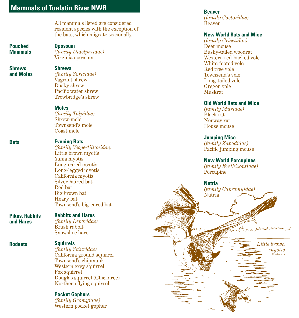# **Mammals of Tualatin River NWR**

All mammals listed are considered resident species with the exception of the bats, which migrate seasonally.

#### **Pouched Mammals**

**Opossum** *(family Didelphiidae)* Virginia opossum

#### **Shrews and Moles**

### **Shrews**

*(family Soricidae)* Vagrant shrew Dusky shrew Pacific water shrew Trowbridge's shrew

#### **Moles**

*(family Talpidae)* Shrew-mole Townsend's mole Coast mole

#### **Evening Bats**

*(family Vespertilionidae)* Little brown myotis Yuma myotis Long-eared myotis Long-legged myotis California myotis Silver-haired bat Red bat Big brown bat Hoary bat Townsend's big-eared bat

#### **Rabbits and Hares**

*(family Leporidae)* Brush rabbit Snowshoe hare

#### **Squirrels**

*(family Sciuridae)* California ground squirrel Townsend's chipmunk Western grey squirrel Fox squirrel Douglas squirrel (Chickaree) Northern flying squirrel

#### **Pocket Gophers**

*(family Geomyidae)* Western pocket gopher

#### **Beaver**

*(family Castoridae)* Beaver

#### **New World Rats and Mice**

*(family Cricetidae)* Deer mouse Bushy-tailed woodrat Western red-backed vole White-footed vole Red tree vole Townsend's vole Long-tailed vole Oregon vole Muskrat

#### **Old World Rats and Mice**

*(family Muridae)* Black rat Norway rat House mouse

#### **Jumping Mice**

*(family Zapodidae)* Pacific jumping mouse

#### **New World Porcupines**

*(family Erethizontidae)* Porcupine

**Nutria** *(family Capromyidae)* Nutria

**Rodents Squirrels** *Little brown myotis © Morris*

#### **Bats**

**Pikas, Rabbits and Hares**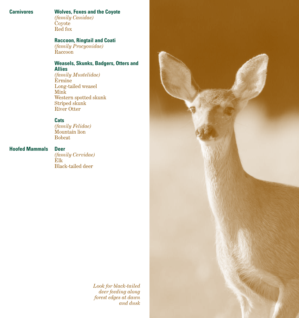#### **Carnivores**

#### **Wolves, Foxes and the Coyote**

*(family Canidae)* Coyote Red fox

### **Raccoon, Ringtail and Coati**

*(family Procyonidae)* Raccoon

#### **Weasels, Skunks, Badgers, Otters and Allies**

*(family Mustelidae)* Ermine Long-tailed weasel Mink Western spotted skunk Striped skunk River Otter

#### **Cats**

*(family Felidae)* Mountain lion Bobcat

#### **Deer Hoofed Mammals**

*(family Cervidae)* Elk Black-tailed deer

> *Look for black-tailed deer feeding along forest edges at dawn and dusk*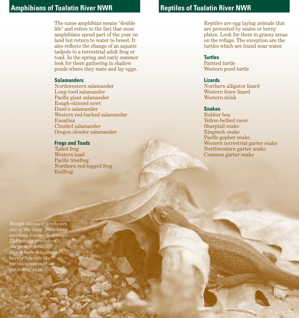# **Amphibians of Tualatin River NWR Traveller Reptiles of Tualatin River NWR**

The name amphibian means "double life" and refers to the fact that most amphibians spend part of the year on land but return to water to breed. It also reflects the change of an aquatic tadpole to a terrestrial adult frog or toad. In the spring and early summer look for them gathering in shallow ponds where they mate and lay eggs.

#### **Salamanders**

Northwestern salamander Long-toed salamander Pacific giant salamander Rough-skinned newt Dunn's salamander Western red-backed salamander Ensatina Clouded salamander Oregon slender salamander

#### **Frogs and Toads**

Tailed frog Western toad Pacific treefrog Northern red-legged frog Bullfrog

Reptiles are egg laying animals that are protected by scales or horny plates. Look for them in grassy areas on the refuge. The exception are the turtles which are found near water.

#### **Turtles**

Painted turtle Western pond turtle

#### **Lizards**

Northern alligator lizard Western fence lizard Western skink

#### **Snakes**

Rubber boa Yellow-bellied racer Sharptail snake Ringneck snake Pacific gopher snake Western terrestrial garter snake Northwestern garter snake Common garter snake

*Rough-skinned newts are one of the most poisonous animals known to science. Their only predators are garter snakes, which have adapted to barely tolerate the toxins contained on the newts' skin.*